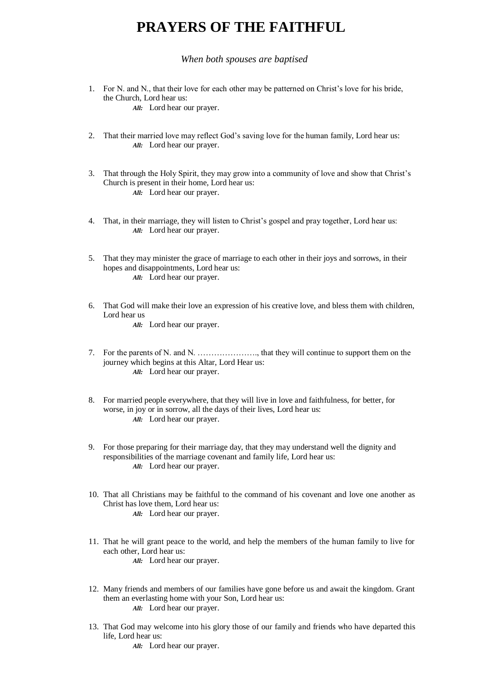## **PRAYERS OF THE FAITHFUL**

*When both spouses are baptised*

- 1. For N. and N., that their love for each other may be patterned on Christ's love for his bride, the Church, Lord hear us: *All:* Lord hear our prayer.
- 2. That their married love may reflect God's saving love for the human family, Lord hear us: *All:* Lord hear our prayer.
- 3. That through the Holy Spirit, they may grow into a community of love and show that Christ's Church is present in their home, Lord hear us: *All:* Lord hear our prayer.
- 4. That, in their marriage, they will listen to Christ's gospel and pray together, Lord hear us: *All:* Lord hear our prayer.
- 5. That they may minister the grace of marriage to each other in their joys and sorrows, in their hopes and disappointments, Lord hear us: *All:* Lord hear our prayer.
- 6. That God will make their love an expression of his creative love, and bless them with children, Lord hear us *All:* Lord hear our prayer.

- 7. For the parents of N. and N. …………………., that they will continue to support them on the journey which begins at this Altar, Lord Hear us: *All:* Lord hear our prayer.
- 8. For married people everywhere, that they will live in love and faithfulness, for better, for worse, in joy or in sorrow, all the days of their lives, Lord hear us: *All:* Lord hear our prayer.
- 9. For those preparing for their marriage day, that they may understand well the dignity and responsibilities of the marriage covenant and family life, Lord hear us: *All:* Lord hear our prayer.
- 10. That all Christians may be faithful to the command of his covenant and love one another as Christ has love them, Lord hear us: *All:* Lord hear our prayer.
- 11. That he will grant peace to the world, and help the members of the human family to live for each other, Lord hear us: *All:* Lord hear our prayer.
- 12. Many friends and members of our families have gone before us and await the kingdom. Grant them an everlasting home with your Son, Lord hear us: *All:* Lord hear our prayer.
- 13. That God may welcome into his glory those of our family and friends who have departed this life, Lord hear us:
	- *All:* Lord hear our prayer.